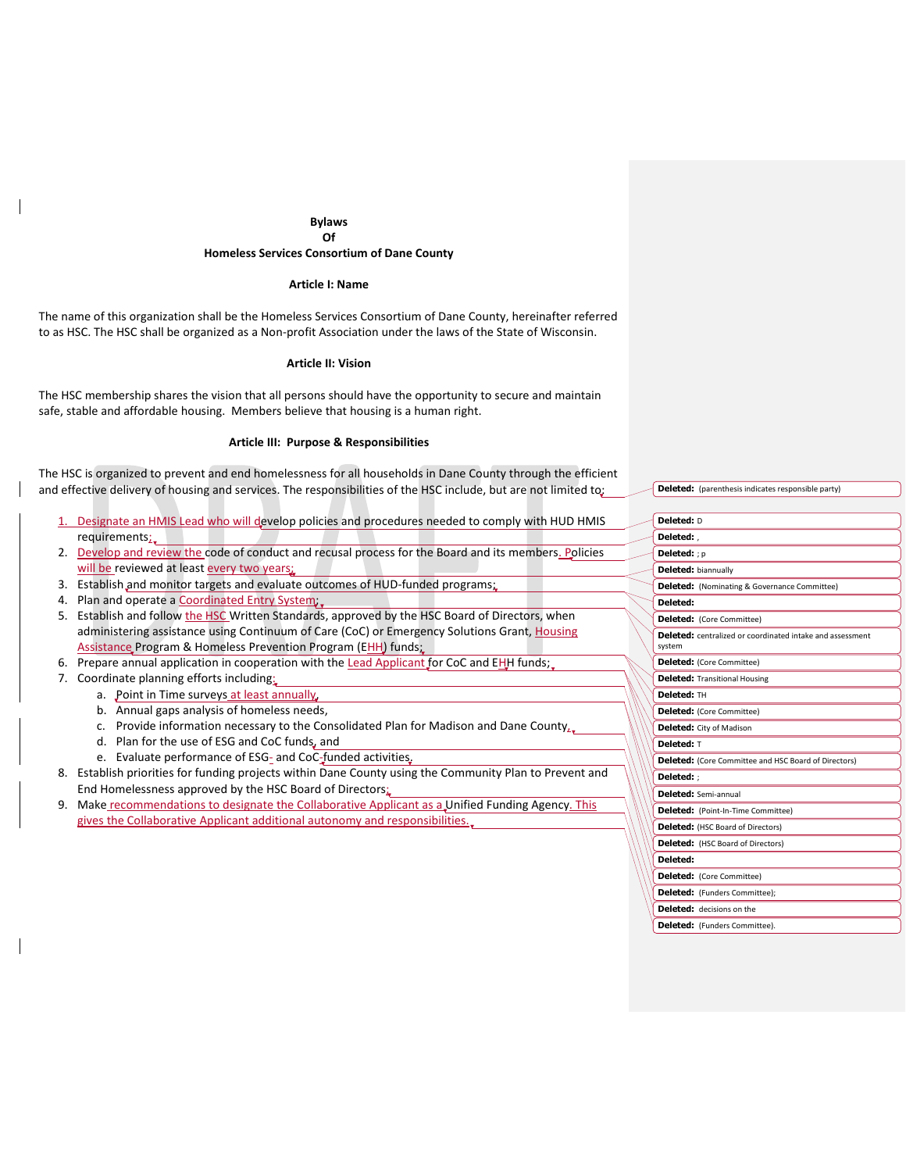# **Bylaws Of Homeless Services Consortium of Dane County**

#### **Article I: Name**

The name of this organization shall be the Homeless Services Consortium of Dane County, hereinafter referred to as HSC. The HSC shall be organized as a Non-profit Association under the laws of the State of Wisconsin.

## **Article II: Vision**

The HSC membership shares the vision that all persons should have the opportunity to secure and maintain safe, stable and affordable housing. Members believe that housing is a human right.

#### **Article III: Purpose & Responsibilities**

The HSC is organized to prevent and end homelessness for all households in Dane County through the efficient and effective delivery of housing and services. The responsibilities of the HSC include, but are not limited to:

- Designate an HMIS Lead who will develop policies and procedures needed to comply with HUD HMIS requirements;
- 2. Develop and review the code of conduct and recusal process for the Board and its members. Policies will be reviewed at least every two years;
- 3. Establish and monitor targets and evaluate outcomes of HUD-funded programs;
- 4. Plan and operate a Coordinated Entry System;
- 5. Establish and follow the HSC Written Standards, approved by the HSC Board of Directors, when administering assistance using Continuum of Care (CoC) or Emergency Solutions Grant, Housing Assistance Program & Homeless Prevention Program (EHH) funds;
- 6. Prepare annual application in cooperation with the Lead Applicant for CoC and EHH funds;
- 7. Coordinate planning efforts including:
	- a. Point in Time surveys at least annually
	- b. Annual gaps analysis of homeless needs,
	- c. Provide information necessary to the Consolidated Plan for Madison and Dane County<sub>4</sub>,
	- d. Plan for the use of ESG and CoC funds, and
	- e. Evaluate performance of ESG- and CoC-funded activities.
- 8. Establish priorities for funding projects within Dane County using the Community Plan to Prevent and End Homelessness approved by the HSC Board of Directors;
- 9. Make recommendations to designate the Collaborative Applicant as a Unified Funding Agency. This gives the Collaborative Applicant additional autonomy and responsibilities.

| Deleted: D                                                                 |  |
|----------------------------------------------------------------------------|--|
| Deleted: .                                                                 |  |
| <b>Deleted:</b> ; p                                                        |  |
| <b>Deleted: biannually</b>                                                 |  |
| <b>Deleted:</b> (Nominating & Governance Committee)                        |  |
| Deleted:                                                                   |  |
| <b>Deleted:</b> (Core Committee)                                           |  |
| <b>Deleted:</b> centralized or coordinated intake and assessment<br>system |  |
| <b>Deleted:</b> (Core Committee)                                           |  |
| <b>Deleted:</b> Transitional Housing                                       |  |
| Deleted: TH                                                                |  |
| <b>Deleted:</b> (Core Committee)                                           |  |
| Deleted: City of Madison                                                   |  |
| Deleted: T                                                                 |  |
| <b>Deleted:</b> (Core Committee and HSC Board of Directors)                |  |
| Deleted: :                                                                 |  |
| <b>Deleted:</b> Semi-annual                                                |  |
| <b>Deleted:</b> (Point-In-Time Committee)                                  |  |
| <b>Deleted:</b> (HSC Board of Directors)                                   |  |
| <b>Deleted:</b> (HSC Board of Directors)                                   |  |
| Deleted:                                                                   |  |
| <b>Deleted:</b> (Core Committee)                                           |  |
| <b>Deleted:</b> (Funders Committee);                                       |  |
| <b>Deleted:</b> decisions on the                                           |  |
| Deleted: (Funders Committee).                                              |  |

**Deleted:** (parenthesis indicates responsible party)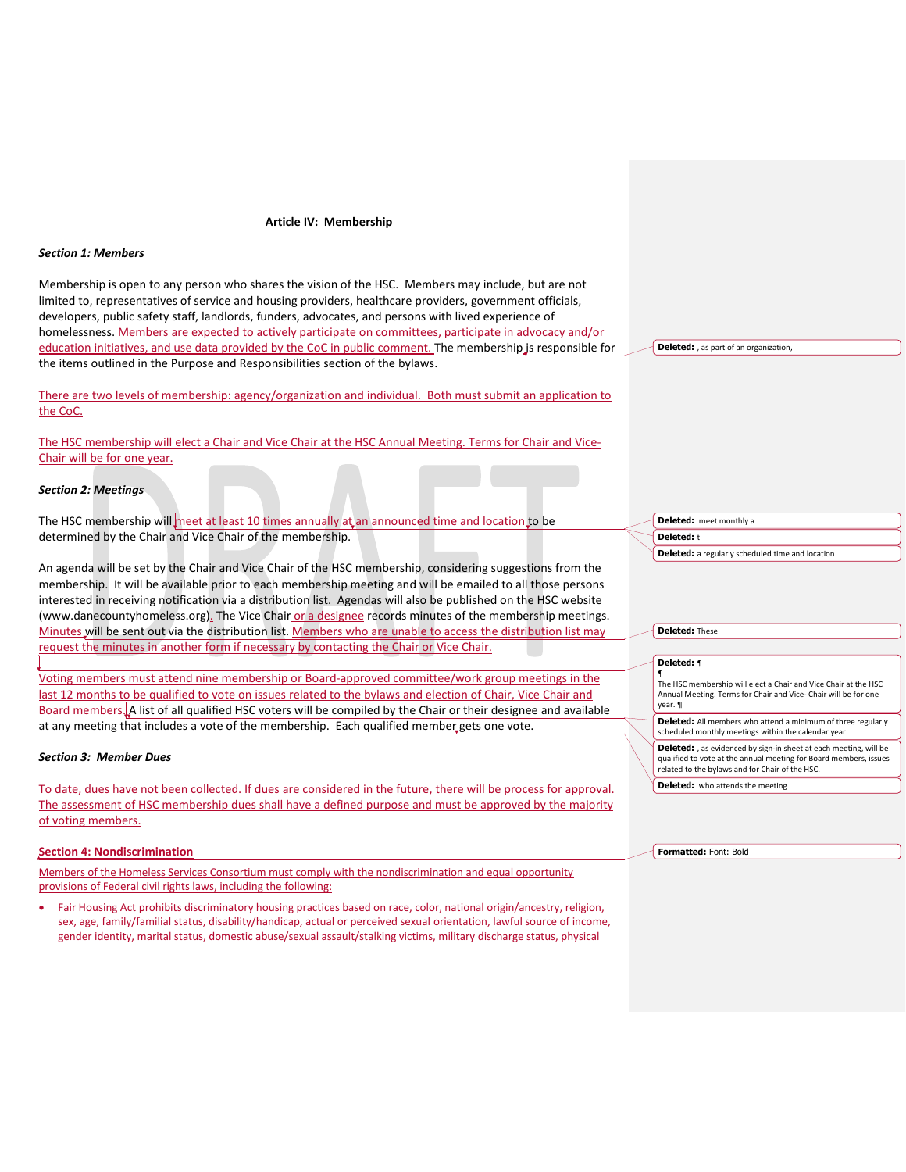#### **Article IV: Membership**

#### *Section 1: Members*

Membership is open to any person who shares the vision of the HSC. Members may include, but are not limited to, representatives of service and housing providers, healthcare providers, government officials, developers, public safety staff, landlords, funders, advocates, and persons with lived experience of homelessness. Members are expected to actively participate on committees, participate in advocacy and/or education initiatives, and use data provided by the CoC in public comment. The membership is responsible for the items outlined in the Purpose and Responsibilities section of the bylaws.

There are two levels of membership: agency/organization and individual. Both must submit an application to the CoC.

The HSC membership will elect a Chair and Vice Chair at the HSC Annual Meeting. Terms for Chair and Vice-Chair will be for one year.

# *Section 2: Meetings*

The HSC membership will meet at least 10 times annually at an announced time and location to be determined by the Chair and Vice Chair of the membership.

An agenda will be set by the Chair and Vice Chair of the HSC membership, considering suggestions from the membership. It will be available prior to each membership meeting and will be emailed to all those persons interested in receiving notification via a distribution list. Agendas will also be published on the HSC website (www.danecountyhomeless.org). The Vice Chair or a designee records minutes of the membership meetings. Minutes will be sent out via the distribution list. Members who are unable to access the distribution list may request the minutes in another form if necessary by contacting the Chair or Vice Chair.

Voting members must attend nine membership or Board-approved committee/work group meetings in the last 12 months to be qualified to vote on issues related to the bylaws and election of Chair, Vice Chair and Board members. A list of all qualified HSC voters will be compiled by the Chair or their designee and available at any meeting that includes a vote of the membership. Each qualified member gets one vote.

#### *Section 3: Member Dues*

To date, dues have not been collected. If dues are considered in the future, there will be process for approval. The assessment of HSC membership dues shall have a defined purpose and must be approved by the majority of voting members.

# **Section 4: Nondiscrimination**

Members of the Homeless Services Consortium must comply with the nondiscrimination and equal opportunity provisions of Federal civil rights laws, including the following:

 Fair Housing Act prohibits discriminatory housing practices based on race, color, national origin/ancestry, religion, sex, age, family/familial status, disability/handicap, actual or perceived sexual orientation, lawful source of income, gender identity, marital status, domestic abuse/sexual assault/stalking victims, military discharge status, physical

**Deleted:** , as part of an organization,

**Deleted:** meet monthly a **Deleted:** t **Deleted:** a regularly scheduled time and location

#### **Deleted:** These

#### **Deleted:** ¶

¶ The HSC membership will elect a Chair and Vice Chair at the HSC Annual Meeting. Terms for Chair and Vice- Chair will be for one year. ¶

**Deleted:** All members who attend a minimum of three regularly scheduled monthly meetings within the calendar year

**Deleted:** , as evidenced by sign-in sheet at each meeting, will be qualified to vote at the annual meeting for Board members, issues related to the bylaws and for Chair of the HSC.

**Deleted:** who attends the meeting

#### **Formatted:** Font: Bold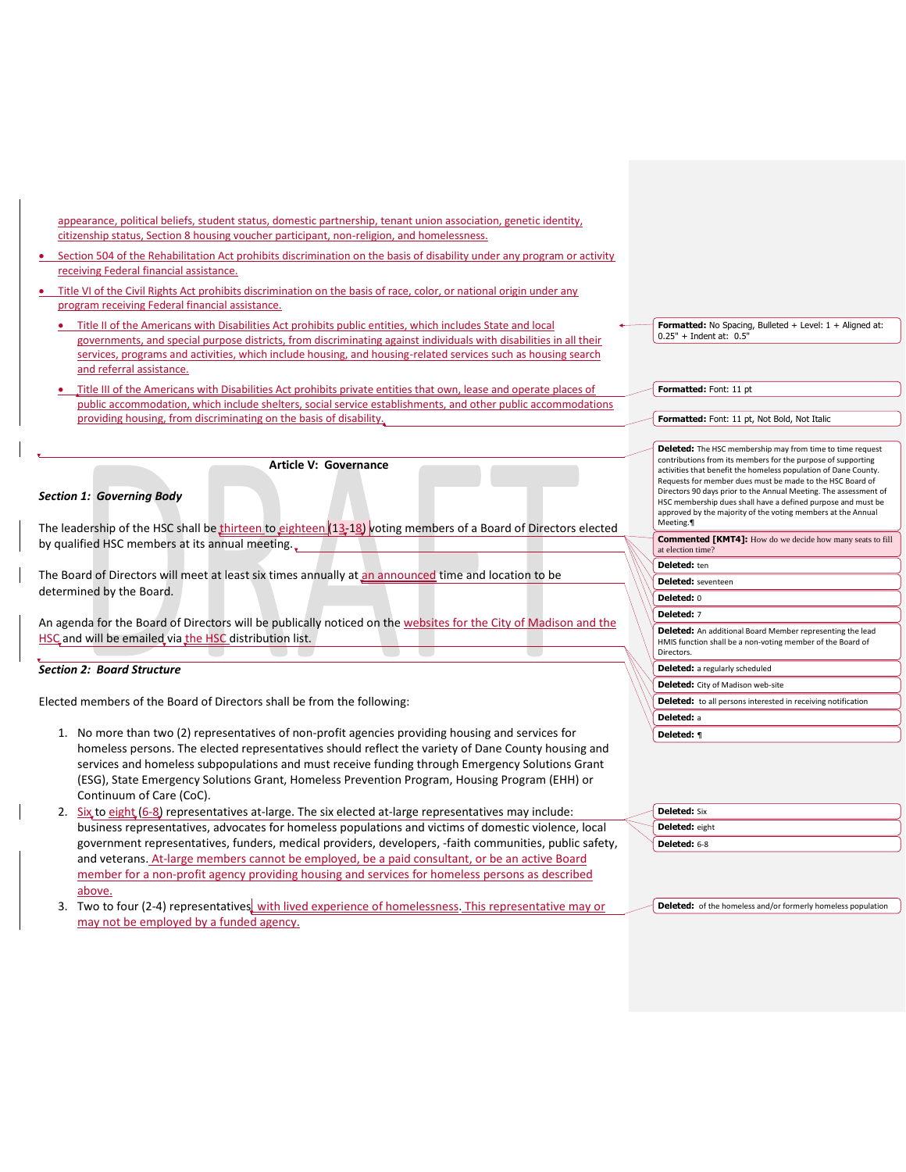appearance, political beliefs, student status, domestic partnership, tenant union association, genetic identity, citizenship status, Section 8 housing voucher participant, non-religion, and homelessness.

- Section 504 of the Rehabilitation Act prohibits discrimination on the basis of disability under any program or activity receiving Federal financial assistance.
- Title VI of the Civil Rights Act prohibits discrimination on the basis of race, color, or national origin under any program receiving Federal financial assistance.
	- Title II of the Americans with Disabilities Act prohibits public entities, which includes State and local governments, and special purpose districts, from discriminating against individuals with disabilities in all their services, programs and activities, which include housing, and housing-related services such as housing search and referral assistance.
	- Title III of the Americans with Disabilities Act prohibits private entities that own, lease and operate places of public accommodation, which include shelters, social service establishments, and other public accommodations providing housing, from discriminating on the basis of disability.

#### **Article V: Governance**

# *Section 1: Governing Body*

The leadership of the HSC shall be thirteen to eighteen (13-18) voting members of a Board of Directors elected by qualified HSC members at its annual meeting.

The Board of Directors will meet at least six times annually at an announced time and location to be determined by the Board.

An agenda for the Board of Directors will be publically noticed on the websites for the City of Madison and the HSC and will be emailed via the HSC distribution list.

#### *Section 2: Board Structure*

Elected members of the Board of Directors shall be from the following:

- 1. No more than two (2) representatives of non-profit agencies providing housing and services for homeless persons. The elected representatives should reflect the variety of Dane County housing and services and homeless subpopulations and must receive funding through Emergency Solutions Grant (ESG), State Emergency Solutions Grant, Homeless Prevention Program, Housing Program (EHH) or Continuum of Care (CoC).
- 2.  $Six$  to eight  $(6-8)$  representatives at-large. The six elected at-large representatives may include: business representatives, advocates for homeless populations and victims of domestic violence, local government representatives, funders, medical providers, developers, -faith communities, public safety, and veterans. At-large members cannot be employed, be a paid consultant, or be an active Board member for a non-profit agency providing housing and services for homeless persons as described above.
- 3. Two to four (2-4) representatives with lived experience of homelessness. This representative may or may not be employed by a funded agency.

**Formatted:** No Spacing, Bulleted + Level: 1 + Aligned at: 0.25" + Indent at: 0.5"

**Formatted:** Font: 11 pt

**Formatted:** Font: 11 pt, Not Bold, Not Italic

| <b>Commented [KMT4]:</b> How do we decide how many seats to fill<br>at election time?<br>Deleted: ten<br><b>Deleted:</b> seventeen<br>Deleted: 0<br>Deleted: 7<br><b>Deleted:</b> An additional Board Member representing the lead<br>HMIS function shall be a non-voting member of the Board of<br>Directors.<br><b>Deleted:</b> a regularly scheduled | <b>Deleted:</b> The HSC membership may from time to time request<br>contributions from its members for the purpose of supporting<br>activities that benefit the homeless population of Dane County.<br>Requests for member dues must be made to the HSC Board of<br>Directors 90 days prior to the Annual Meeting. The assessment of<br>HSC membership dues shall have a defined purpose and must be<br>approved by the majority of the voting members at the Annual<br>Meeting. |
|---------------------------------------------------------------------------------------------------------------------------------------------------------------------------------------------------------------------------------------------------------------------------------------------------------------------------------------------------------|----------------------------------------------------------------------------------------------------------------------------------------------------------------------------------------------------------------------------------------------------------------------------------------------------------------------------------------------------------------------------------------------------------------------------------------------------------------------------------|
|                                                                                                                                                                                                                                                                                                                                                         |                                                                                                                                                                                                                                                                                                                                                                                                                                                                                  |
|                                                                                                                                                                                                                                                                                                                                                         |                                                                                                                                                                                                                                                                                                                                                                                                                                                                                  |
|                                                                                                                                                                                                                                                                                                                                                         |                                                                                                                                                                                                                                                                                                                                                                                                                                                                                  |
|                                                                                                                                                                                                                                                                                                                                                         |                                                                                                                                                                                                                                                                                                                                                                                                                                                                                  |
|                                                                                                                                                                                                                                                                                                                                                         |                                                                                                                                                                                                                                                                                                                                                                                                                                                                                  |
|                                                                                                                                                                                                                                                                                                                                                         |                                                                                                                                                                                                                                                                                                                                                                                                                                                                                  |
|                                                                                                                                                                                                                                                                                                                                                         |                                                                                                                                                                                                                                                                                                                                                                                                                                                                                  |

| Deleted: City of Madison web-site                            |  |
|--------------------------------------------------------------|--|
| Deleted: to all persons interested in receiving notification |  |
| Deleted: a                                                   |  |

**Deleted:** ¶

| <b>Deleted: Six</b>   |
|-----------------------|
| <b>Deleted:</b> eight |
| Deleted: 6-8          |

**Deleted:** of the homeless and/or formerly homeless population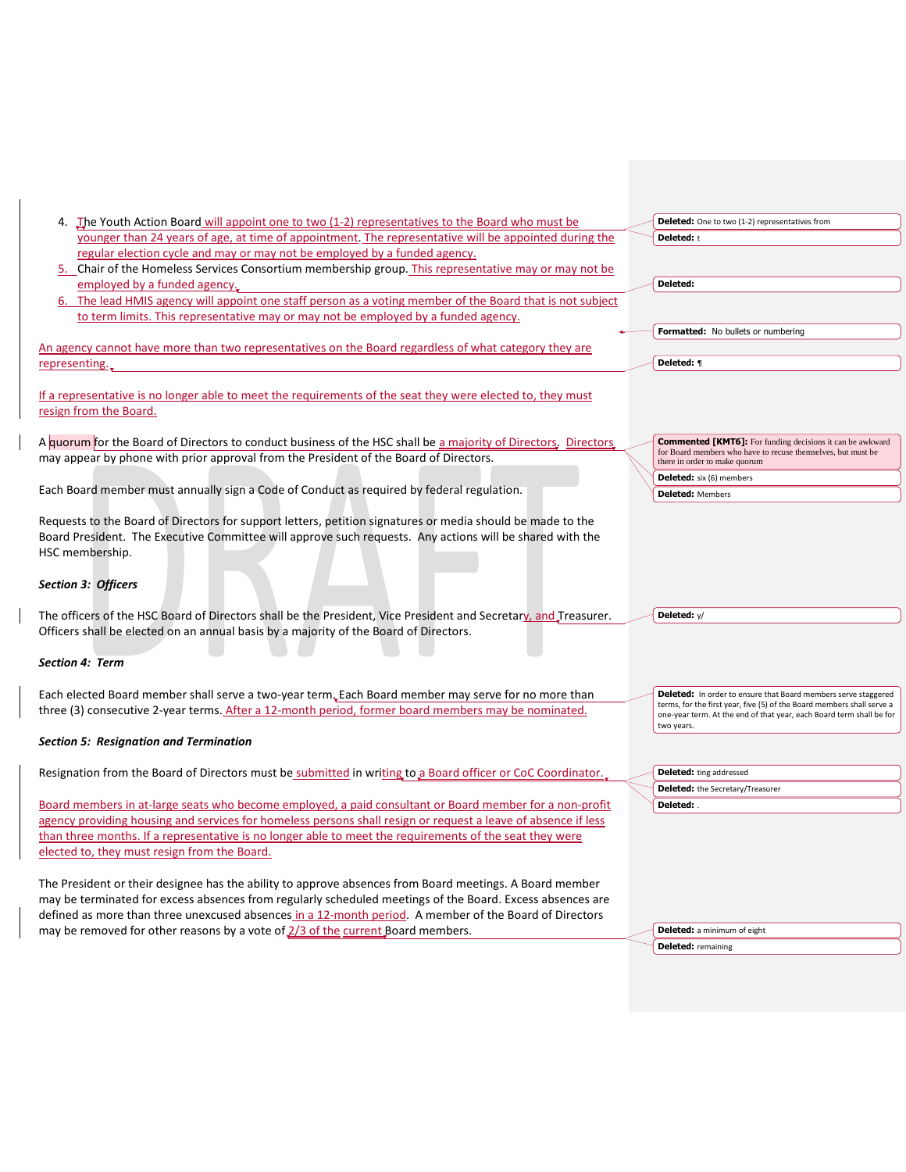| 4. The Youth Action Board will appoint one to two (1-2) representatives to the Board who must be                                                                                                                                          | <b>Deleted:</b> One to two (1-2) representatives from                                                                                                                                                                          |
|-------------------------------------------------------------------------------------------------------------------------------------------------------------------------------------------------------------------------------------------|--------------------------------------------------------------------------------------------------------------------------------------------------------------------------------------------------------------------------------|
| younger than 24 years of age, at time of appointment. The representative will be appointed during the                                                                                                                                     | <b>Deleted:</b> t                                                                                                                                                                                                              |
| regular election cycle and may or may not be employed by a funded agency.                                                                                                                                                                 |                                                                                                                                                                                                                                |
| Chair of the Homeless Services Consortium membership group. This representative may or may not be                                                                                                                                         |                                                                                                                                                                                                                                |
| employed by a funded agency.                                                                                                                                                                                                              | Deleted:                                                                                                                                                                                                                       |
| 6. The lead HMIS agency will appoint one staff person as a voting member of the Board that is not subject                                                                                                                                 |                                                                                                                                                                                                                                |
| to term limits. This representative may or may not be employed by a funded agency.                                                                                                                                                        |                                                                                                                                                                                                                                |
|                                                                                                                                                                                                                                           | Formatted: No bullets or numbering                                                                                                                                                                                             |
| An agency cannot have more than two representatives on the Board regardless of what category they are                                                                                                                                     |                                                                                                                                                                                                                                |
| representing.                                                                                                                                                                                                                             | Deleted: ¶                                                                                                                                                                                                                     |
| If a representative is no longer able to meet the requirements of the seat they were elected to, they must<br>resign from the Board.                                                                                                      |                                                                                                                                                                                                                                |
| A quorum for the Board of Directors to conduct business of the HSC shall be a majority of Directors. Directors                                                                                                                            | <b>Commented [KMT6]:</b> For funding decisions it can be awkward                                                                                                                                                               |
| may appear by phone with prior approval from the President of the Board of Directors.                                                                                                                                                     | for Board members who have to recuse themselves, but must be                                                                                                                                                                   |
|                                                                                                                                                                                                                                           | there in order to make quorum                                                                                                                                                                                                  |
| Each Board member must annually sign a Code of Conduct as required by federal regulation.                                                                                                                                                 | <b>Deleted:</b> six (6) members                                                                                                                                                                                                |
|                                                                                                                                                                                                                                           | <b>Deleted: Members</b>                                                                                                                                                                                                        |
| Requests to the Board of Directors for support letters, petition signatures or media should be made to the<br>Board President. The Executive Committee will approve such requests. Any actions will be shared with the<br>HSC membership. |                                                                                                                                                                                                                                |
| <b>Section 3: Officers</b>                                                                                                                                                                                                                |                                                                                                                                                                                                                                |
| The officers of the HSC Board of Directors shall be the President, Vice President and Secretary, and Treasurer.<br>Officers shall be elected on an annual basis by a majority of the Board of Directors.                                  | Deleted: v/                                                                                                                                                                                                                    |
| <b>Section 4: Term</b>                                                                                                                                                                                                                    |                                                                                                                                                                                                                                |
| Each elected Board member shall serve a two-year term, Each Board member may serve for no more than<br>three (3) consecutive 2-year terms. After a 12-month period, former board members may be nominated.                                | Deleted: In order to ensure that Board members serve staggered<br>terms, for the first year, five (5) of the Board members shall serve a<br>one-year term. At the end of that year, each Board term shall be for<br>two years. |
| <b>Section 5: Resignation and Termination</b>                                                                                                                                                                                             |                                                                                                                                                                                                                                |
| Resignation from the Board of Directors must be submitted in writing to a Board officer or CoC Coordinator.                                                                                                                               | <b>Deleted:</b> ting addressed                                                                                                                                                                                                 |
|                                                                                                                                                                                                                                           | <b>Deleted:</b> the Secretary/Treasurer                                                                                                                                                                                        |
| Board members in at-large seats who become employed, a paid consultant or Board member for a non-profit                                                                                                                                   | Deleted: .                                                                                                                                                                                                                     |
| agency providing housing and services for homeless persons shall resign or request a leave of absence if less                                                                                                                             |                                                                                                                                                                                                                                |
| than three months. If a representative is no longer able to meet the requirements of the seat they were<br>elected to, they must resign from the Board.                                                                                   |                                                                                                                                                                                                                                |
| The President or their designee has the ability to approve absences from Board meetings. A Board member                                                                                                                                   |                                                                                                                                                                                                                                |
| may be terminated for excess absences from regularly scheduled meetings of the Board. Excess absences are                                                                                                                                 |                                                                                                                                                                                                                                |
| defined as more than three unexcused absences in a 12-month period. A member of the Board of Directors                                                                                                                                    |                                                                                                                                                                                                                                |
| may be removed for other reasons by a vote of 2/3 of the current Board members.                                                                                                                                                           | Deleted: a minimum of eight                                                                                                                                                                                                    |
|                                                                                                                                                                                                                                           | <b>Deleted:</b> remaining                                                                                                                                                                                                      |
|                                                                                                                                                                                                                                           |                                                                                                                                                                                                                                |

 $\overline{\phantom{a}}$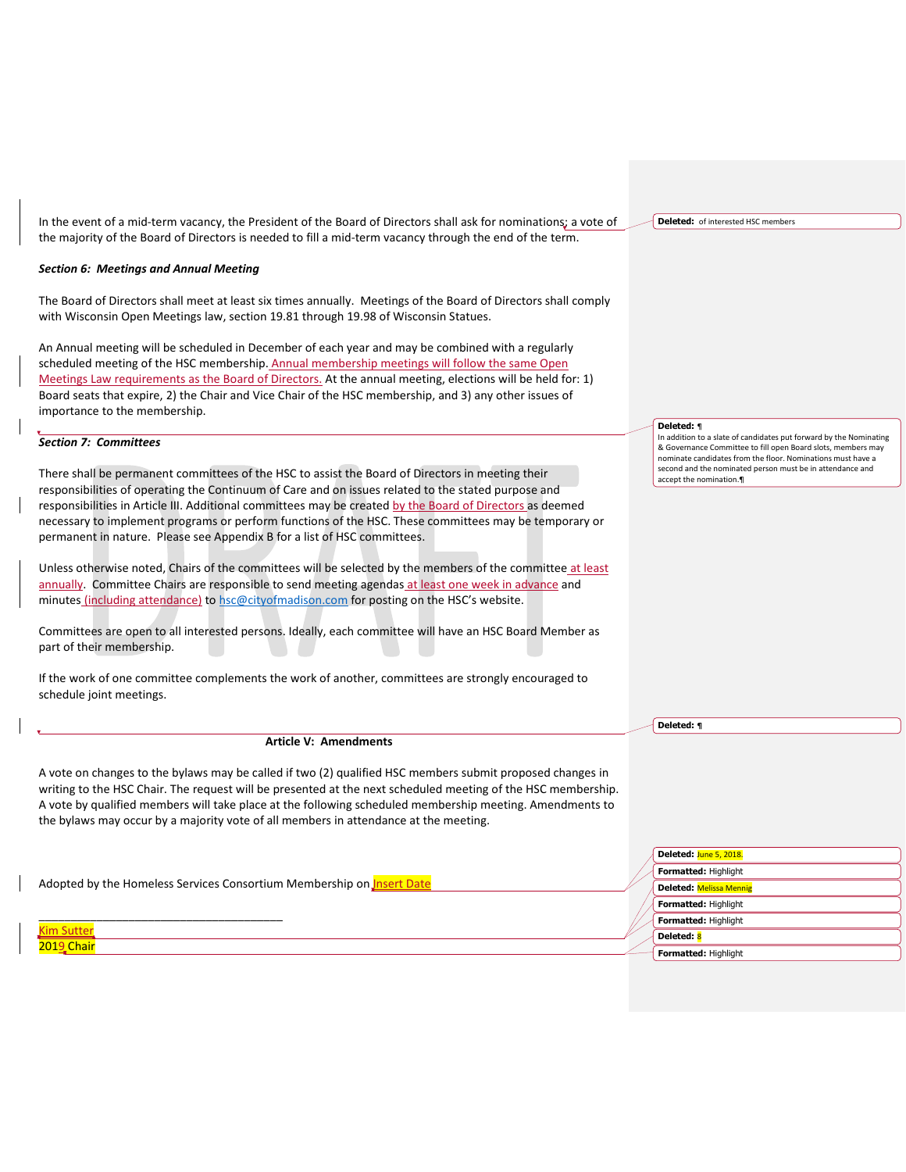In the event of a mid-term vacancy, the President of the Board of Directors shall ask for nominations; a vote of the majority of the Board of Directors is needed to fill a mid-term vacancy through the end of the term.

#### *Section 6: Meetings and Annual Meeting*

The Board of Directors shall meet at least six times annually. Meetings of the Board of Directors shall comply with Wisconsin Open Meetings law, section 19.81 through 19.98 of Wisconsin Statues.

An Annual meeting will be scheduled in December of each year and may be combined with a regularly scheduled meeting of the HSC membership. Annual membership meetings will follow the same Open Meetings Law requirements as the Board of Directors. At the annual meeting, elections will be held for: 1) Board seats that expire, 2) the Chair and Vice Chair of the HSC membership, and 3) any other issues of importance to the membership.

## *Section 7: Committees*

There shall be permanent committees of the HSC to assist the Board of Directors in meeting their responsibilities of operating the Continuum of Care and on issues related to the stated purpose and responsibilities in Article III. Additional committees may be created by the Board of Directors as deemed necessary to implement programs or perform functions of the HSC. These committees may be temporary or permanent in nature. Please see Appendix B for a list of HSC committees.

Unless otherwise noted, Chairs of the committees will be selected by the members of the committee at least annually. Committee Chairs are responsible to send meeting agendas at least one week in advance and minutes (including attendance) to [hsc@cityofmadison.com](mailto:hsc@cityofmadison.com) for posting on the HSC's website.

Committees are open to all interested persons. Ideally, each committee will have an HSC Board Member as part of their membership.

If the work of one committee complements the work of another, committees are strongly encouraged to schedule joint meetings.

#### **Article V: Amendments**

A vote on changes to the bylaws may be called if two (2) qualified HSC members submit proposed changes in writing to the HSC Chair. The request will be presented at the next scheduled meeting of the HSC membership. A vote by qualified members will take place at the following scheduled membership meeting. Amendments to the bylaws may occur by a majority vote of all members in attendance at the meeting.

Adopted by the Homeless Services Consortium Membership on **Jnsert Date** 

\_\_\_\_\_\_\_\_\_\_\_\_\_\_\_\_\_\_\_\_\_\_\_\_\_\_\_\_\_\_\_\_\_\_\_\_\_\_

im Sutter 2019 Chair **Deleted:** of interested HSC members

#### **Deleted:** ¶

In addition to a slate of candidates put forward by the Nominating & Governance Committee to fill open Board slots, members may nominate candidates from the floor. Nominations must have a second and the nominated person must be in attendance and accept the nomination.¶

**Deleted: ¶**

**Deleted:** June 5, 2018. **Formatted:** Highlight **Deleted:** Melissa Mennig **Formatted:** Highlight **Formatted:** Highlight **Deleted:** 8 **Formatted:** Highlight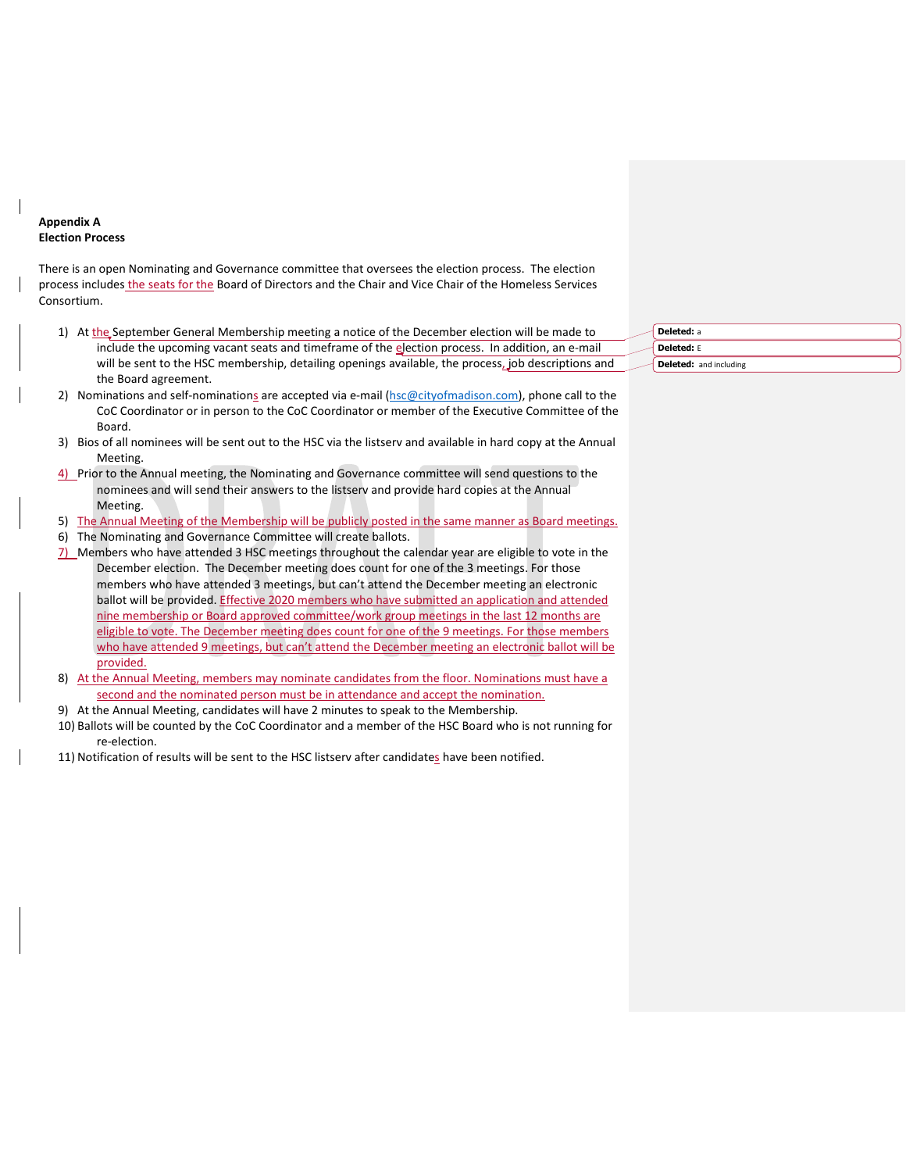# **Appendix A Election Process**

There is an open Nominating and Governance committee that oversees the election process. The election process includes the seats for the Board of Directors and the Chair and Vice Chair of the Homeless Services Consortium.

- 1) At the September General Membership meeting a notice of the December election will be made to include the upcoming vacant seats and timeframe of the election process. In addition, an e-mail will be sent to the HSC membership, detailing openings available, the process, job descriptions and the Board agreement.
- 2) Nominations and self-nominations are accepted via e-mail [\(hsc@cityofmadison.com\)](mailto:hsc@cityofmadison.com), phone call to the CoC Coordinator or in person to the CoC Coordinator or member of the Executive Committee of the Board.
- 3) Bios of all nominees will be sent out to the HSC via the listserv and available in hard copy at the Annual Meeting.
- 4) Prior to the Annual meeting, the Nominating and Governance committee will send questions to the nominees and will send their answers to the listserv and provide hard copies at the Annual Meeting.
- 5) The Annual Meeting of the Membership will be publicly posted in the same manner as Board meetings.
- 6) The Nominating and Governance Committee will create ballots.
- 7) Members who have attended 3 HSC meetings throughout the calendar year are eligible to vote in the December election. The December meeting does count for one of the 3 meetings. For those members who have attended 3 meetings, but can't attend the December meeting an electronic ballot will be provided. Effective 2020 members who have submitted an application and attended nine membership or Board approved committee/work group meetings in the last 12 months are eligible to vote. The December meeting does count for one of the 9 meetings. For those members who have attended 9 meetings, but can't attend the December meeting an electronic ballot will be provided.
- 8) At the Annual Meeting, members may nominate candidates from the floor. Nominations must have a second and the nominated person must be in attendance and accept the nomination.
- 9) At the Annual Meeting, candidates will have 2 minutes to speak to the Membership.
- 10) Ballots will be counted by the CoC Coordinator and a member of the HSC Board who is not running for re-election.
- 11) Notification of results will be sent to the HSC listserv after candidates have been notified.

| <b>Deleted: a</b>             |
|-------------------------------|
| <b>Deleted:</b> E             |
| <b>Deleted:</b> and including |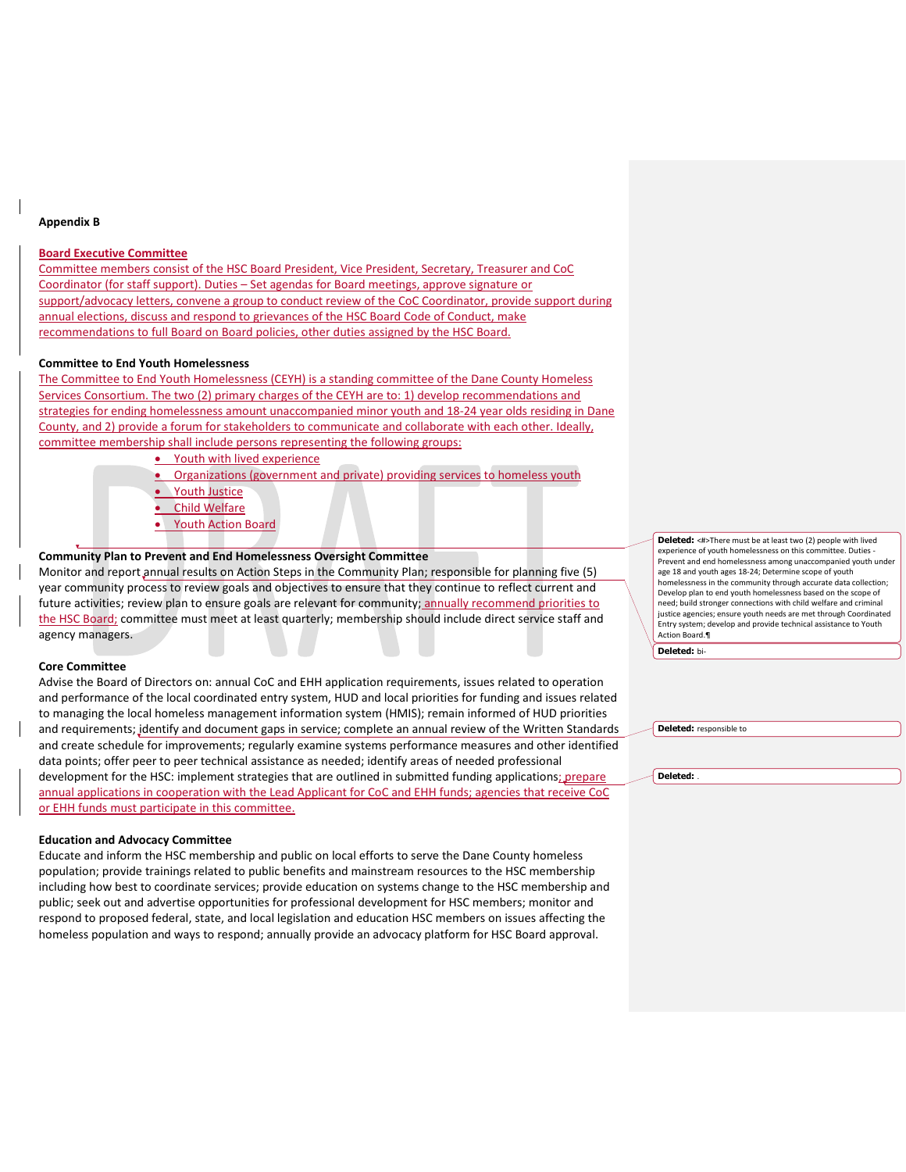#### **Appendix B**

## **Board Executive Committee**

Committee members consist of the HSC Board President, Vice President, Secretary, Treasurer and CoC Coordinator (for staff support). Duties – Set agendas for Board meetings, approve signature or support/advocacy letters, convene a group to conduct review of the CoC Coordinator, provide support during annual elections, discuss and respond to grievances of the HSC Board Code of Conduct, make recommendations to full Board on Board policies, other duties assigned by the HSC Board.

## **Committee to End Youth Homelessness**

The Committee to End Youth Homelessness (CEYH) is a standing committee of the Dane County Homeless Services Consortium. The two (2) primary charges of the CEYH are to: 1) develop recommendations and strategies for ending homelessness amount unaccompanied minor youth and 18-24 year olds residing in Dane County, and 2) provide a forum for stakeholders to communicate and collaborate with each other. Ideally, committee membership shall include persons representing the following groups:

- Youth with lived experience
- Organizations (government and private) providing services to homeless youth
- Youth Justice
- Child Welfare
- Youth Action Board

## **Community Plan to Prevent and End Homelessness Oversight Committee**

Monitor and report annual results on Action Steps in the Community Plan; responsible for planning five (5) year community process to review goals and objectives to ensure that they continue to reflect current and future activities; review plan to ensure goals are relevant for community; annually recommend priorities to the HSC Board; committee must meet at least quarterly; membership should include direct service staff and agency managers.

#### **Core Committee**

Advise the Board of Directors on: annual CoC and EHH application requirements, issues related to operation and performance of the local coordinated entry system, HUD and local priorities for funding and issues related to managing the local homeless management information system (HMIS); remain informed of HUD priorities and requirements; identify and document gaps in service; complete an annual review of the Written Standards and create schedule for improvements; regularly examine systems performance measures and other identified data points; offer peer to peer technical assistance as needed; identify areas of needed professional development for the HSC: implement strategies that are outlined in submitted funding applications; prepare annual applications in cooperation with the Lead Applicant for CoC and EHH funds; agencies that receive CoC or EHH funds must participate in this committee.

#### **Education and Advocacy Committee**

Educate and inform the HSC membership and public on local efforts to serve the Dane County homeless population; provide trainings related to public benefits and mainstream resources to the HSC membership including how best to coordinate services; provide education on systems change to the HSC membership and public; seek out and advertise opportunities for professional development for HSC members; monitor and respond to proposed federal, state, and local legislation and education HSC members on issues affecting the homeless population and ways to respond; annually provide an advocacy platform for HSC Board approval.

**Deleted:** <#>There must be at least two (2) people with lived experience of youth homelessness on this committee. Duties - Prevent and end homelessness among unaccompanied youth under age 18 and youth ages 18-24; Determine scope of youth homelessness in the community through accurate data collection; Develop plan to end youth homelessness based on the scope of need; build stronger connections with child welfare and criminal justice agencies; ensure youth needs are met through Coordinated Entry system; develop and provide technical assistance to Youth Action Board.¶

**Deleted:** bi-

**Deleted:** responsible to

**Deleted:** .